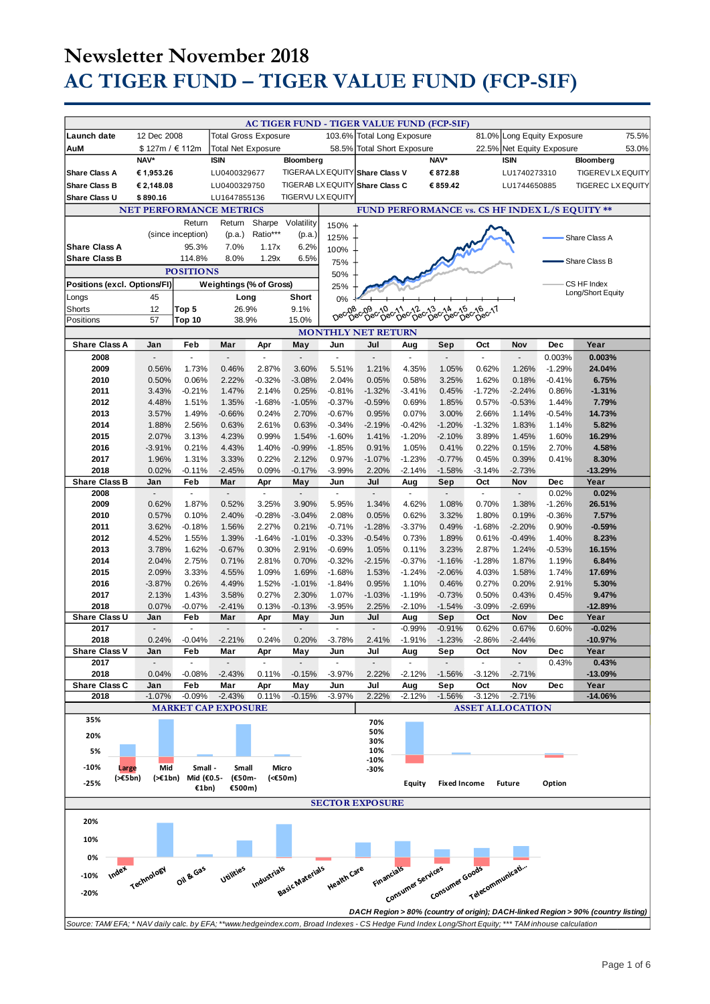|                                                                                                                                                     |                                |                             |                             |                       |                             |                          | <b>AC TIGER FUND - TIGER VALUE FUND (FCP-SIF)</b>                                   |                      |                      |                   |                            |                    |                                                                                   |
|-----------------------------------------------------------------------------------------------------------------------------------------------------|--------------------------------|-----------------------------|-----------------------------|-----------------------|-----------------------------|--------------------------|-------------------------------------------------------------------------------------|----------------------|----------------------|-------------------|----------------------------|--------------------|-----------------------------------------------------------------------------------|
| Launch date                                                                                                                                         | 12 Dec 2008                    |                             | <b>Total Gross Exposure</b> |                       |                             |                          | 103.6% Total Long Exposure                                                          |                      |                      |                   | 81.0% Long Equity Exposure |                    | 75.5%                                                                             |
| AuM                                                                                                                                                 | \$127m / €112m                 |                             | <b>Total Net Exposure</b>   |                       |                             | 58.5%                    | <b>Total Short Exposure</b>                                                         |                      |                      |                   | 22.5% Net Equity Exposure  |                    | 53.0%                                                                             |
|                                                                                                                                                     | NAV*                           |                             | <b>ISIN</b>                 |                       | Bloomberg                   |                          |                                                                                     |                      | NAV*                 |                   | <b>ISIN</b>                |                    | Bloomberg                                                                         |
| <b>Share Class A</b>                                                                                                                                | € 1,953.26                     |                             | LU0400329677                |                       |                             |                          | TIGERAA LX EQUITY Share Class V                                                     |                      | € 872.88             |                   | LU1740273310               |                    | <b>TIGEREV LX EQUITY</b>                                                          |
| <b>Share Class B</b>                                                                                                                                | € 2,148.08                     |                             | LU0400329750                |                       | TIGERAB LX EQUITY           |                          | <b>Share Class C</b>                                                                |                      | € 859.42             |                   | LU1744650885               |                    | <b>TIGEREC LX EQUITY</b>                                                          |
| Share Class U                                                                                                                                       | \$890.16                       |                             | LU1647855136                |                       | <b>TIGERVU LX EQUITY</b>    |                          |                                                                                     |                      |                      |                   |                            |                    |                                                                                   |
|                                                                                                                                                     | <b>NET PERFORMANCE METRICS</b> |                             |                             |                       |                             |                          | FUND PERFORMANCE vs. CS HF INDEX L/S EQUITY **                                      |                      |                      |                   |                            |                    |                                                                                   |
|                                                                                                                                                     |                                | Return<br>(since inception) | Return<br>(p.a.)            | Ratio***              | Sharpe Volatility<br>(p.a.) | 150%                     |                                                                                     |                      |                      |                   |                            |                    |                                                                                   |
| <b>Share Class A</b>                                                                                                                                |                                | 95.3%                       | 7.0%                        | 1.17x                 | 6.2%                        | 125%                     |                                                                                     |                      |                      |                   |                            |                    | Share Class A                                                                     |
| <b>Share Class B</b>                                                                                                                                |                                | 114.8%                      | 8.0%                        | 1.29x                 | 6.5%                        | 100%                     |                                                                                     |                      |                      |                   |                            |                    | Share Class B                                                                     |
|                                                                                                                                                     |                                | <b>POSITIONS</b>            |                             |                       |                             | 75%<br>50%               |                                                                                     |                      |                      |                   |                            |                    |                                                                                   |
| Positions (excl. Options/FI)                                                                                                                        |                                |                             | Weightings (% of Gross)     |                       |                             | 25%                      |                                                                                     |                      |                      |                   |                            |                    | CS HF Index                                                                       |
| Longs                                                                                                                                               | 45                             |                             | Long                        |                       | Short                       | 0%                       |                                                                                     |                      |                      |                   |                            |                    | Long/Short Equity                                                                 |
| Shorts                                                                                                                                              | 12                             | Top 5                       | 26.9%                       |                       | 9.1%                        |                          | Dec 08 c 10 c 11 c 12 c 13 c 16 c 16 c 17<br>Dec Dec Dec Dec Dec Dec Dec Dec Dec 17 |                      |                      |                   |                            |                    |                                                                                   |
| Positions                                                                                                                                           | 57                             | Top 10                      | 38.9%                       |                       | 15.0%                       |                          |                                                                                     |                      |                      |                   |                            |                    |                                                                                   |
|                                                                                                                                                     |                                |                             |                             |                       |                             |                          | <b>MONTHLY NET RETURN</b>                                                           |                      |                      |                   |                            |                    |                                                                                   |
| <b>Share Class A</b>                                                                                                                                | Jan                            | Feb                         | Mar                         | Apr                   | May                         | Jun                      | Jul                                                                                 | Aug                  | Sep                  | Oct               | Nov                        | <b>Dec</b>         | Year                                                                              |
| 2008                                                                                                                                                | $\overline{\phantom{a}}$       | ä,                          | $\overline{\phantom{a}}$    | ä,                    |                             | $\omega$                 | ÷,                                                                                  |                      | $\sim$               | $\blacksquare$    |                            | 0.003%<br>$-1.29%$ | 0.003%                                                                            |
| 2009<br>2010                                                                                                                                        | 0.56%<br>0.50%                 | 1.73%<br>0.06%              | 0.46%<br>2.22%              | 2.87%<br>$-0.32%$     | 3.60%<br>$-3.08%$           | 5.51%<br>2.04%           | 1.21%<br>0.05%                                                                      | 4.35%<br>0.58%       | 1.05%<br>3.25%       | 0.62%<br>1.62%    | 1.26%<br>0.18%             | $-0.41%$           | 24.04%<br>6.75%                                                                   |
| 2011                                                                                                                                                | 3.43%                          | $-0.21%$                    | 1.47%                       | 2.14%                 | 0.25%                       | $-0.81%$                 | $-1.32%$                                                                            | $-3.41%$             | 0.45%                | $-1.72%$          | $-2.24%$                   | 0.86%              | $-1.31%$                                                                          |
| 2012                                                                                                                                                | 4.48%                          | 1.51%                       | 1.35%                       | $-1.68%$              | $-1.05%$                    | $-0.37%$                 | $-0.59%$                                                                            | 0.69%                | 1.85%                | 0.57%             | $-0.53%$                   | 1.44%              | 7.79%                                                                             |
| 2013                                                                                                                                                | 3.57%                          | 1.49%                       | $-0.66%$                    | 0.24%                 | 2.70%                       | $-0.67%$                 | 0.95%                                                                               | 0.07%                | 3.00%                | 2.66%             | 1.14%                      | $-0.54%$           | 14.73%                                                                            |
| 2014                                                                                                                                                | 1.88%                          | 2.56%                       | 0.63%                       | 2.61%                 | 0.63%                       | $-0.34%$                 | $-2.19%$                                                                            | $-0.42%$             | $-1.20%$             | $-1.32%$          | 1.83%                      | 1.14%              | 5.82%                                                                             |
| 2015                                                                                                                                                | 2.07%                          | 3.13%                       | 4.23%                       | 0.99%                 | 1.54%                       | $-1.60%$                 | 1.41%                                                                               | $-1.20%$             | $-2.10%$             | 3.89%             | 1.45%                      | 1.60%              | 16.29%                                                                            |
| 2016<br>2017                                                                                                                                        | $-3.91%$<br>1.96%              | 0.21%<br>1.31%              | 4.43%<br>3.33%              | 1.40%<br>0.22%        | $-0.99%$<br>2.12%           | $-1.85%$<br>0.97%        | 0.91%<br>$-1.07%$                                                                   | 1.05%<br>$-1.23%$    | 0.41%<br>$-0.77%$    | 0.22%<br>0.45%    | 0.15%<br>0.39%             | 2.70%<br>0.41%     | 4.58%<br>8.30%                                                                    |
| 2018                                                                                                                                                | 0.02%                          | $-0.11%$                    | $-2.45%$                    | 0.09%                 | $-0.17%$                    | $-3.99%$                 | 2.20%                                                                               | $-2.14%$             | $-1.58%$             | $-3.14%$          | $-2.73%$                   |                    | $-13.29%$                                                                         |
| <b>Share Class B</b>                                                                                                                                | Jan                            | Feb                         | Mar                         | Apr                   | May                         | Jun                      | Jul                                                                                 | Aug                  | Sep                  | Oct               | Nov                        | <b>Dec</b>         | Year                                                                              |
| 2008                                                                                                                                                |                                | L.                          |                             | $\tilde{\phantom{a}}$ |                             | $\omega$                 | $\tilde{\phantom{a}}$                                                               | ä,                   | $\sim$               | ä,                |                            | 0.02%              | 0.02%                                                                             |
| 2009                                                                                                                                                | 0.62%                          | 1.87%                       | 0.52%                       | 3.25%                 | 3.90%                       | 5.95%                    | 1.34%                                                                               | 4.62%                | 1.08%                | 0.70%             | 1.38%                      | $-1.26%$           | 26.51%                                                                            |
| 2010                                                                                                                                                | 0.57%                          | 0.10%                       | 2.40%                       | $-0.28%$              | $-3.04%$                    | 2.08%                    | 0.05%                                                                               | 0.62%                | 3.32%                | 1.80%             | 0.19%                      | $-0.36%$           | 7.57%                                                                             |
| 2011<br>2012                                                                                                                                        | 3.62%<br>4.52%                 | $-0.18%$<br>1.55%           | 1.56%<br>1.39%              | 2.27%<br>$-1.64%$     | 0.21%<br>$-1.01%$           | $-0.71%$<br>$-0.33%$     | $-1.28%$<br>$-0.54%$                                                                | $-3.37%$<br>0.73%    | 0.49%<br>1.89%       | $-1.68%$<br>0.61% | $-2.20%$<br>$-0.49%$       | 0.90%<br>1.40%     | $-0.59%$<br>8.23%                                                                 |
| 2013                                                                                                                                                | 3.78%                          | 1.62%                       | $-0.67%$                    | 0.30%                 | 2.91%                       | $-0.69%$                 | 1.05%                                                                               | 0.11%                | 3.23%                | 2.87%             | 1.24%                      | $-0.53%$           | 16.15%                                                                            |
| 2014                                                                                                                                                | 2.04%                          | 2.75%                       | 0.71%                       | 2.81%                 | 0.70%                       | $-0.32%$                 | $-2.15%$                                                                            | $-0.37%$             | $-1.16%$             | $-1.28%$          | 1.87%                      | 1.19%              | 6.84%                                                                             |
| 2015                                                                                                                                                | 2.09%                          | 3.33%                       | 4.55%                       | 1.09%                 | 1.69%                       | $-1.68%$                 | 1.53%                                                                               | $-1.24%$             | $-2.06%$             | 4.03%             | 1.58%                      | 1.74%              | 17.69%                                                                            |
| 2016                                                                                                                                                | $-3.87%$                       | 0.26%                       | 4.49%                       | 1.52%                 | $-1.01%$                    | $-1.84%$                 | 0.95%                                                                               | 1.10%                | 0.46%                | 0.27%             | 0.20%                      | 2.91%              | 5.30%                                                                             |
| 2017<br>2018                                                                                                                                        | 2.13%<br>0.07%                 | 1.43%<br>$-0.07%$           | 3.58%<br>$-2.41%$           | 0.27%<br>0.13%        | 2.30%<br>$-0.13%$           | 1.07%<br>$-3.95%$        | $-1.03%$<br>2.25%                                                                   | $-1.19%$<br>$-2.10%$ | $-0.73%$<br>$-1.54%$ | 0.50%<br>$-3.09%$ | 0.43%<br>$-2.69%$          | 0.45%              | 9.47%<br>$-12.89%$                                                                |
| Share Class U                                                                                                                                       | Jan                            | Feb                         | Mar                         | Apr                   | May                         | Jun                      | Jul                                                                                 | Aug                  | Sep                  | Oct               | Nov                        | Dec                | Year                                                                              |
| 2017                                                                                                                                                | $\blacksquare$                 |                             |                             |                       |                             | $\overline{\phantom{a}}$ |                                                                                     | $-0.99%$             | $-0.91%$             | 0.62%             | 0.67%                      | 0.60%              | $-0.02%$                                                                          |
| 2018                                                                                                                                                | 0.24%                          | $-0.04%$                    | $-2.21%$                    | 0.24%                 | 0.20%                       | $-3.78%$                 | 2.41%                                                                               | $-1.91%$             | $-1.23%$             | $-2.86%$          | $-2.44%$                   |                    | $-10.97%$                                                                         |
| Share Class V                                                                                                                                       | Jan                            | Feb                         | Mar                         | Apr                   | May                         | Jun                      | Jul                                                                                 | Aug                  | Sep                  | Oct               | Nov                        | Dec                | Year                                                                              |
| 2017<br>2018                                                                                                                                        |                                |                             | $-2.43%$                    | 0.11%                 |                             | $-3.97%$                 | 2.22%                                                                               |                      |                      | $-3.12%$          | $-2.71%$                   | 0.43%              | 0.43%                                                                             |
| Share Class C                                                                                                                                       | 0.04%<br>Jan                   | $-0.08%$<br>Feb             | Mar                         | Apr                   | $-0.15%$<br>May             | Jun                      | Jul                                                                                 | $-2.12%$<br>Aug      | $-1.56%$<br>Sep      | Oct               | Nov                        | Dec                | $-13.09%$<br>Year                                                                 |
| 2018                                                                                                                                                | $-1.07%$                       | $-0.09%$                    | $-2.43%$                    | 0.11%                 | $-0.15%$                    | $-3.97%$                 | 2.22%                                                                               | $-2.12%$             | $-1.56%$             | $-3.12%$          | $-2.71%$                   |                    | $-14.06%$                                                                         |
|                                                                                                                                                     |                                |                             | <b>MARKET CAP EXPOSURE</b>  |                       |                             |                          |                                                                                     |                      |                      |                   | <b>ASSET ALLOCATION</b>    |                    |                                                                                   |
| 35%                                                                                                                                                 |                                |                             |                             |                       |                             |                          | 70%                                                                                 |                      |                      |                   |                            |                    |                                                                                   |
| 20%                                                                                                                                                 |                                |                             |                             |                       |                             |                          | 50%<br>30%                                                                          |                      |                      |                   |                            |                    |                                                                                   |
| 5%                                                                                                                                                  |                                |                             |                             |                       |                             |                          | 10%                                                                                 |                      |                      |                   |                            |                    |                                                                                   |
| $-10%$<br>Large                                                                                                                                     | Mid                            | Small -                     | Small                       |                       | Micro                       |                          | -10%                                                                                |                      |                      |                   |                            |                    |                                                                                   |
| $(\geq 5$ bn)                                                                                                                                       |                                | (>€1bn) Mid (€0.5-          | (€50m-                      |                       | (<€50m)                     |                          | -30%                                                                                |                      |                      |                   |                            |                    |                                                                                   |
| $-25%$                                                                                                                                              |                                | €1bn)                       | €500m)                      |                       |                             |                          |                                                                                     | Equity               | <b>Fixed Income</b>  |                   | <b>Future</b>              | Option             |                                                                                   |
|                                                                                                                                                     |                                |                             |                             |                       |                             |                          | <b>SECTOR EXPOSURE</b>                                                              |                      |                      |                   |                            |                    |                                                                                   |
| 20%                                                                                                                                                 |                                |                             |                             |                       |                             |                          |                                                                                     |                      |                      |                   |                            |                    |                                                                                   |
|                                                                                                                                                     |                                |                             |                             |                       |                             |                          |                                                                                     |                      |                      |                   |                            |                    |                                                                                   |
| 10%                                                                                                                                                 |                                |                             |                             |                       |                             |                          |                                                                                     |                      |                      |                   |                            |                    |                                                                                   |
| 0%                                                                                                                                                  |                                |                             |                             |                       |                             |                          |                                                                                     |                      |                      |                   |                            |                    |                                                                                   |
| Index<br>$-10%$                                                                                                                                     |                                | Oil & Gas                   | Utilities                   |                       |                             |                          |                                                                                     |                      |                      |                   |                            |                    |                                                                                   |
| Telecommunicati<br>Basic Materials<br>Industrials<br><b>Financials</b><br>Consumer services<br>Consumer Goods<br>Health Care<br>Technology          |                                |                             |                             |                       |                             |                          |                                                                                     |                      |                      |                   |                            |                    |                                                                                   |
| $-20%$                                                                                                                                              |                                |                             |                             |                       |                             |                          |                                                                                     |                      |                      |                   |                            |                    |                                                                                   |
|                                                                                                                                                     |                                |                             |                             |                       |                             |                          |                                                                                     |                      |                      |                   |                            |                    | DACH Region > 80% (country of origin); DACH-linked Region > 90% (country listing) |
| Source: TAM/EFA; * NAV daily calc. by EFA; **www.hedgeindex.com, Broad Indexes - CS Hedge Fund Index Long/Short Equity; *** TAM inhouse calculation |                                |                             |                             |                       |                             |                          |                                                                                     |                      |                      |                   |                            |                    |                                                                                   |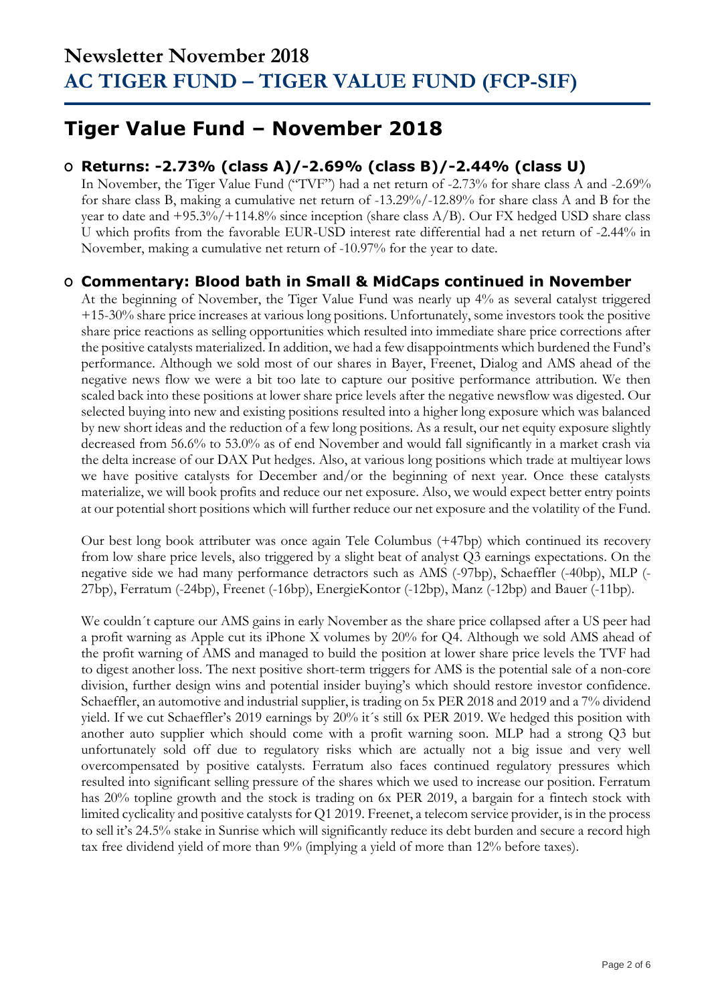### **Tiger Value Fund – November 2018**

### **O Returns: -2.73% (class A)/-2.69% (class B)/-2.44% (class U)**

In November, the Tiger Value Fund ("TVF") had a net return of -2.73% for share class A and -2.69% for share class B, making a cumulative net return of -13.29%/-12.89% for share class A and B for the year to date and +95.3%/+114.8% since inception (share class A/B). Our FX hedged USD share class U which profits from the favorable EUR-USD interest rate differential had a net return of -2.44% in November, making a cumulative net return of -10.97% for the year to date.

### **O Commentary: Blood bath in Small & MidCaps continued in November**

At the beginning of November, the Tiger Value Fund was nearly up 4% as several catalyst triggered +15-30% share price increases at various long positions. Unfortunately, some investors took the positive share price reactions as selling opportunities which resulted into immediate share price corrections after the positive catalysts materialized. In addition, we had a few disappointments which burdened the Fund's performance. Although we sold most of our shares in Bayer, Freenet, Dialog and AMS ahead of the negative news flow we were a bit too late to capture our positive performance attribution. We then scaled back into these positions at lower share price levels after the negative newsflow was digested. Our selected buying into new and existing positions resulted into a higher long exposure which was balanced by new short ideas and the reduction of a few long positions. As a result, our net equity exposure slightly decreased from 56.6% to 53.0% as of end November and would fall significantly in a market crash via the delta increase of our DAX Put hedges. Also, at various long positions which trade at multiyear lows we have positive catalysts for December and/or the beginning of next year. Once these catalysts materialize, we will book profits and reduce our net exposure. Also, we would expect better entry points at our potential short positions which will further reduce our net exposure and the volatility of the Fund.

Our best long book attributer was once again Tele Columbus (+47bp) which continued its recovery from low share price levels, also triggered by a slight beat of analyst Q3 earnings expectations. On the negative side we had many performance detractors such as AMS (-97bp), Schaeffler (-40bp), MLP (- 27bp), Ferratum (-24bp), Freenet (-16bp), EnergieKontor (-12bp), Manz (-12bp) and Bauer (-11bp).

We couldn´t capture our AMS gains in early November as the share price collapsed after a US peer had a profit warning as Apple cut its iPhone X volumes by 20% for Q4. Although we sold AMS ahead of the profit warning of AMS and managed to build the position at lower share price levels the TVF had to digest another loss. The next positive short-term triggers for AMS is the potential sale of a non-core division, further design wins and potential insider buying's which should restore investor confidence. Schaeffler, an automotive and industrial supplier, is trading on 5x PER 2018 and 2019 and a 7% dividend yield. If we cut Schaeffler's 2019 earnings by 20% it´s still 6x PER 2019. We hedged this position with another auto supplier which should come with a profit warning soon. MLP had a strong Q3 but unfortunately sold off due to regulatory risks which are actually not a big issue and very well overcompensated by positive catalysts. Ferratum also faces continued regulatory pressures which resulted into significant selling pressure of the shares which we used to increase our position. Ferratum has 20% topline growth and the stock is trading on 6x PER 2019, a bargain for a fintech stock with limited cyclicality and positive catalysts for Q1 2019. Freenet, a telecom service provider, is in the process to sell it's 24.5% stake in Sunrise which will significantly reduce its debt burden and secure a record high tax free dividend yield of more than 9% (implying a yield of more than 12% before taxes).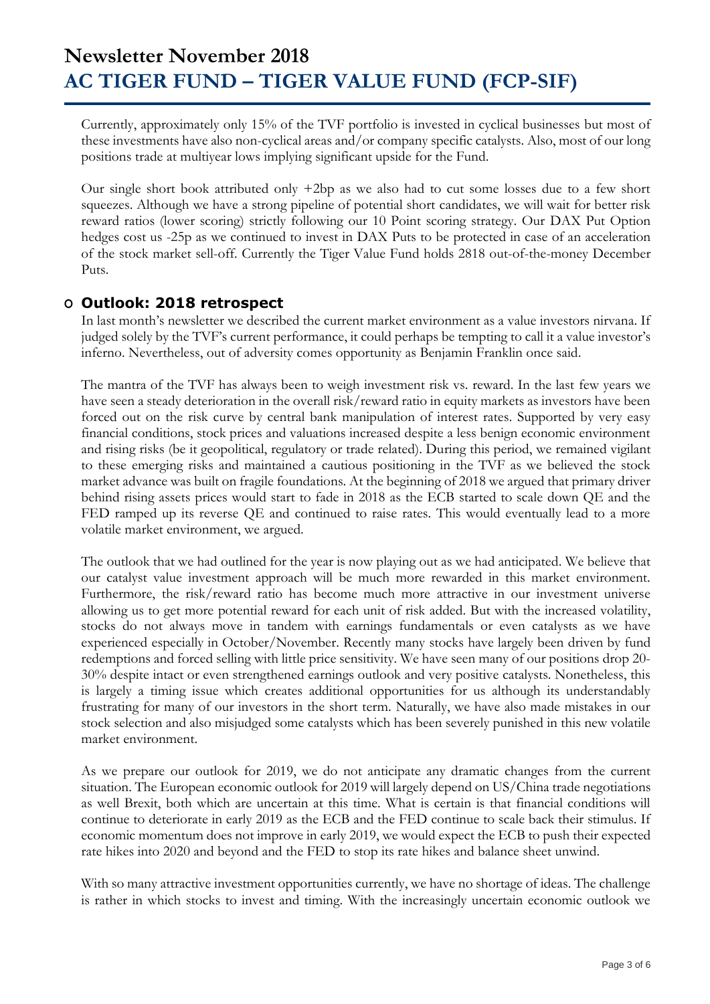Currently, approximately only 15% of the TVF portfolio is invested in cyclical businesses but most of these investments have also non-cyclical areas and/or company specific catalysts. Also, most of our long positions trade at multiyear lows implying significant upside for the Fund.

Our single short book attributed only +2bp as we also had to cut some losses due to a few short squeezes. Although we have a strong pipeline of potential short candidates, we will wait for better risk reward ratios (lower scoring) strictly following our 10 Point scoring strategy. Our DAX Put Option hedges cost us -25p as we continued to invest in DAX Puts to be protected in case of an acceleration of the stock market sell-off. Currently the Tiger Value Fund holds 2818 out-of-the-money December Puts.

### **O Outlook: 2018 retrospect**

In last month's newsletter we described the current market environment as a value investors nirvana. If judged solely by the TVF's current performance, it could perhaps be tempting to call it a value investor's inferno. Nevertheless, out of adversity comes opportunity as Benjamin Franklin once said.

The mantra of the TVF has always been to weigh investment risk vs. reward. In the last few years we have seen a steady deterioration in the overall risk/reward ratio in equity markets as investors have been forced out on the risk curve by central bank manipulation of interest rates. Supported by very easy financial conditions, stock prices and valuations increased despite a less benign economic environment and rising risks (be it geopolitical, regulatory or trade related). During this period, we remained vigilant to these emerging risks and maintained a cautious positioning in the TVF as we believed the stock market advance was built on fragile foundations. At the beginning of 2018 we argued that primary driver behind rising assets prices would start to fade in 2018 as the ECB started to scale down QE and the FED ramped up its reverse QE and continued to raise rates. This would eventually lead to a more volatile market environment, we argued.

The outlook that we had outlined for the year is now playing out as we had anticipated. We believe that our catalyst value investment approach will be much more rewarded in this market environment. Furthermore, the risk/reward ratio has become much more attractive in our investment universe allowing us to get more potential reward for each unit of risk added. But with the increased volatility, stocks do not always move in tandem with earnings fundamentals or even catalysts as we have experienced especially in October/November. Recently many stocks have largely been driven by fund redemptions and forced selling with little price sensitivity. We have seen many of our positions drop 20- 30% despite intact or even strengthened earnings outlook and very positive catalysts. Nonetheless, this is largely a timing issue which creates additional opportunities for us although its understandably frustrating for many of our investors in the short term. Naturally, we have also made mistakes in our stock selection and also misjudged some catalysts which has been severely punished in this new volatile market environment.

As we prepare our outlook for 2019, we do not anticipate any dramatic changes from the current situation. The European economic outlook for 2019 will largely depend on US/China trade negotiations as well Brexit, both which are uncertain at this time. What is certain is that financial conditions will continue to deteriorate in early 2019 as the ECB and the FED continue to scale back their stimulus. If economic momentum does not improve in early 2019, we would expect the ECB to push their expected rate hikes into 2020 and beyond and the FED to stop its rate hikes and balance sheet unwind.

With so many attractive investment opportunities currently, we have no shortage of ideas. The challenge is rather in which stocks to invest and timing. With the increasingly uncertain economic outlook we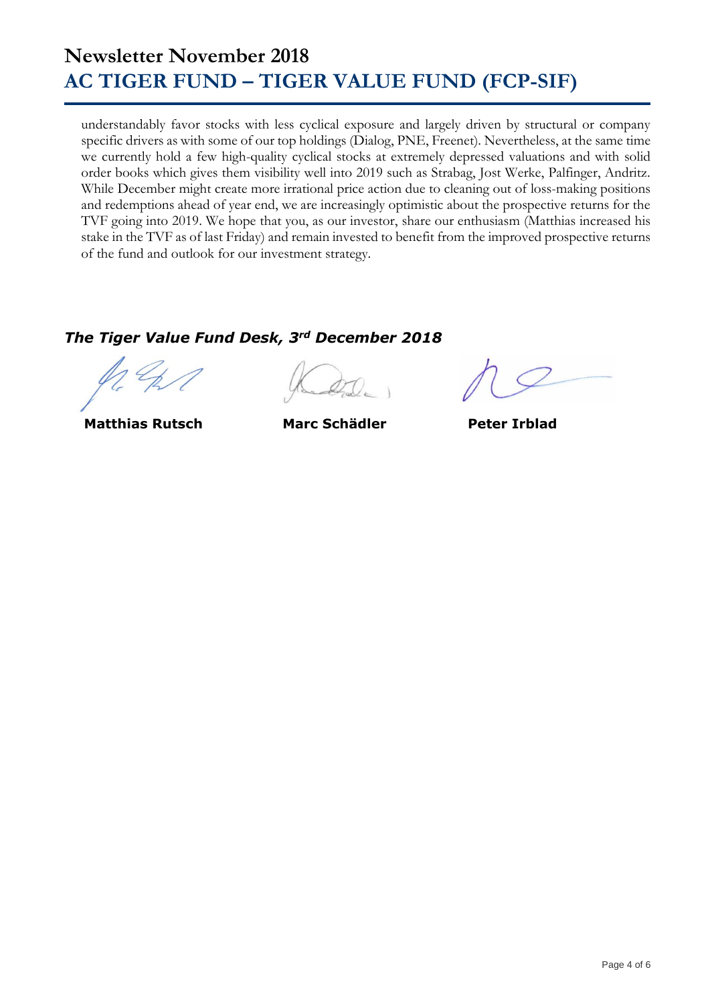understandably favor stocks with less cyclical exposure and largely driven by structural or company specific drivers as with some of our top holdings (Dialog, PNE, Freenet). Nevertheless, at the same time we currently hold a few high-quality cyclical stocks at extremely depressed valuations and with solid order books which gives them visibility well into 2019 such as Strabag, Jost Werke, Palfinger, Andritz. While December might create more irrational price action due to cleaning out of loss-making positions and redemptions ahead of year end, we are increasingly optimistic about the prospective returns for the TVF going into 2019. We hope that you, as our investor, share our enthusiasm (Matthias increased his stake in the TVF as of last Friday) and remain invested to benefit from the improved prospective returns of the fund and outlook for our investment strategy.

### *The Tiger Value Fund Desk, 3rd December 2018*

**Matthias Rutsch Marc Schädler Peter Irblad**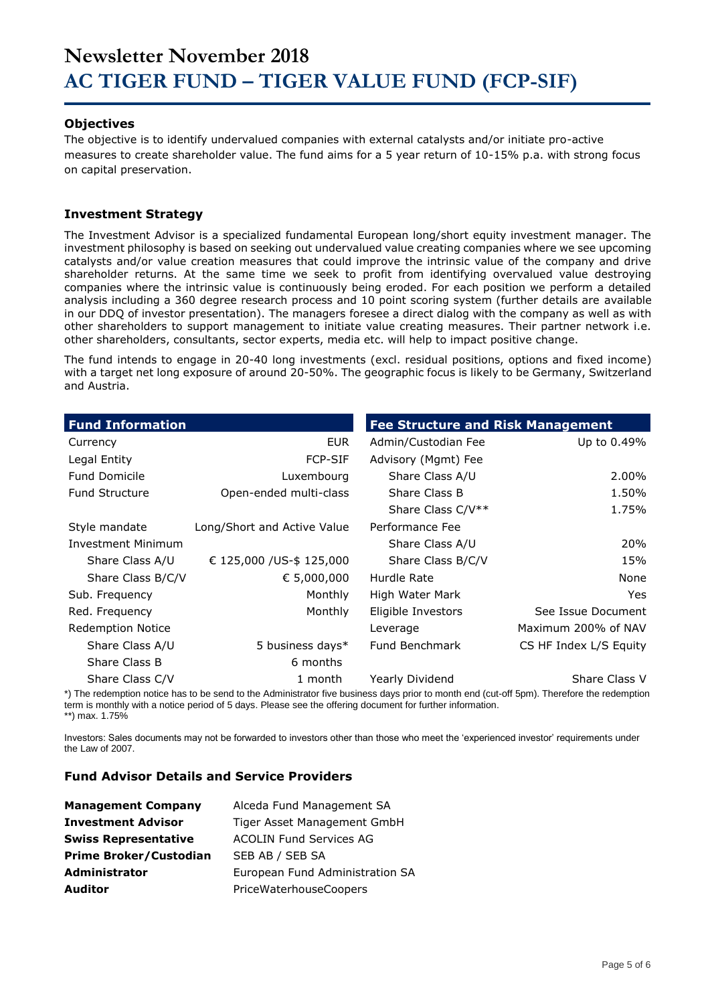#### **Objectives**

The objective is to identify undervalued companies with external catalysts and/or initiate pro-active measures to create shareholder value. The fund aims for a 5 year return of 10-15% p.a. with strong focus on capital preservation.

#### **Investment Strategy**

The Investment Advisor is a specialized fundamental European long/short equity investment manager. The investment philosophy is based on seeking out undervalued value creating companies where we see upcoming catalysts and/or value creation measures that could improve the intrinsic value of the company and drive shareholder returns. At the same time we seek to profit from identifying overvalued value destroying companies where the intrinsic value is continuously being eroded. For each position we perform a detailed analysis including a 360 degree research process and 10 point scoring system (further details are available in our DDQ of investor presentation). The managers foresee a direct dialog with the company as well as with other shareholders to support management to initiate value creating measures. Their partner network i.e. other shareholders, consultants, sector experts, media etc. will help to impact positive change.

The fund intends to engage in 20-40 long investments (excl. residual positions, options and fixed income) with a target net long exposure of around 20-50%. The geographic focus is likely to be Germany, Switzerland and Austria.

| <b>Fund Information</b>   |                             | <b>Fee Structure and Risk Management</b> |                        |
|---------------------------|-----------------------------|------------------------------------------|------------------------|
| Currency                  | <b>EUR</b>                  | Admin/Custodian Fee                      | Up to 0.49%            |
| Legal Entity              | <b>FCP-SIF</b>              | Advisory (Mgmt) Fee                      |                        |
| <b>Fund Domicile</b>      | Luxembourg                  | Share Class A/U                          | 2.00%                  |
| <b>Fund Structure</b>     | Open-ended multi-class      | Share Class B                            | 1.50%                  |
|                           |                             | Share Class C/V**                        | 1.75%                  |
| Style mandate             | Long/Short and Active Value | Performance Fee                          |                        |
| <b>Investment Minimum</b> |                             | Share Class A/U                          | 20%                    |
| Share Class A/U           | € 125,000 / US-\$ 125,000   | Share Class B/C/V                        | 15%                    |
| Share Class B/C/V         | € 5,000,000                 | Hurdle Rate                              | None                   |
| Sub. Frequency            | Monthly                     | High Water Mark                          | Yes                    |
| Red. Frequency            | Monthly                     | Eligible Investors                       | See Issue Document     |
| <b>Redemption Notice</b>  |                             | Leverage                                 | Maximum 200% of NAV    |
| Share Class A/U           | 5 business days*            | Fund Benchmark                           | CS HF Index L/S Equity |
| Share Class B             | 6 months                    |                                          |                        |
| Share Class C/V           | 1 month                     | Yearly Dividend                          | Share Class V          |

\*) The redemption notice has to be send to the Administrator five business days prior to month end (cut-off 5pm). Therefore the redemption term is monthly with a notice period of 5 days. Please see the offering document for further information. \*\*) max. 1.75%

Investors: Sales documents may not be forwarded to investors other than those who meet the 'experienced investor' requirements under the Law of 2007.

#### **Fund Advisor Details and Service Providers**

| <b>Management Company</b>     | Alceda Fund Management SA       |
|-------------------------------|---------------------------------|
| <b>Investment Advisor</b>     | Tiger Asset Management GmbH     |
| <b>Swiss Representative</b>   | <b>ACOLIN Fund Services AG</b>  |
| <b>Prime Broker/Custodian</b> | SEB AB / SEB SA                 |
| <b>Administrator</b>          | European Fund Administration SA |
| <b>Auditor</b>                | PriceWaterhouseCoopers          |